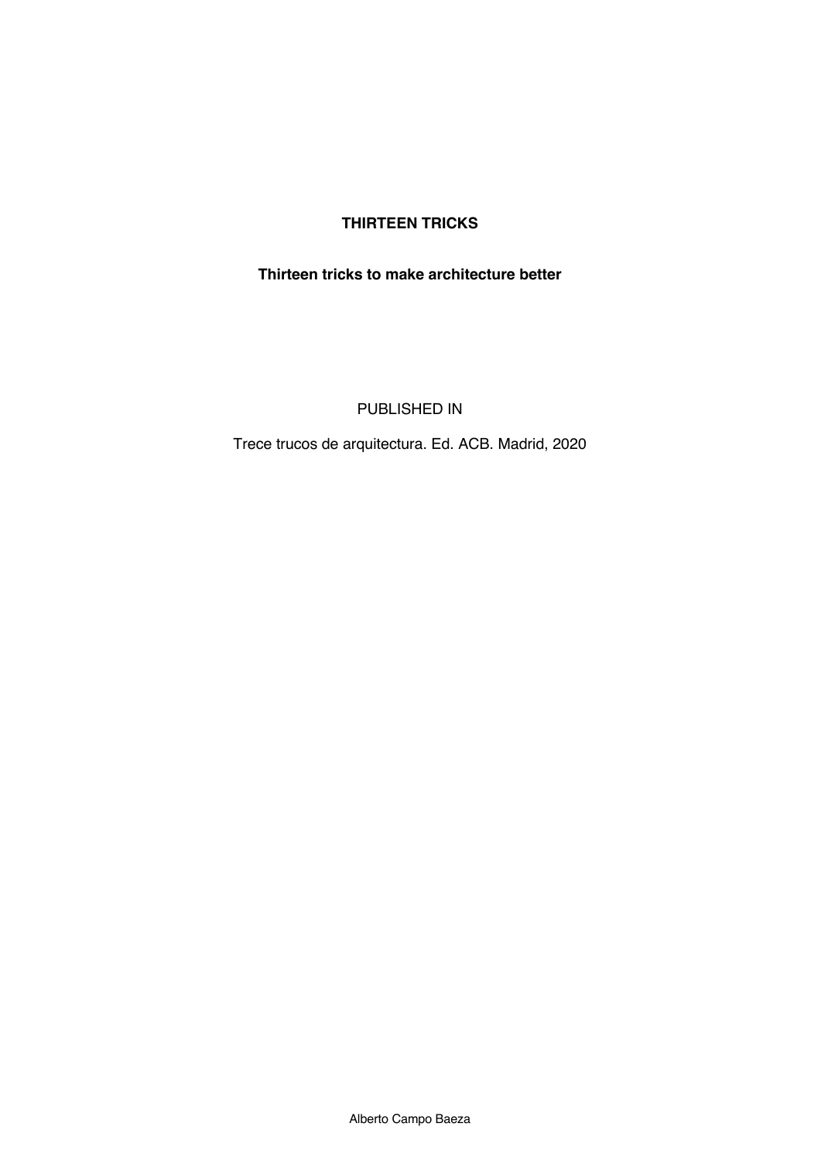# **THIRTEEN TRICKS**

### **Thirteen tricks to make architecture better**

PUBLISHED IN

Trece trucos de arquitectura. Ed. ACB. Madrid, 2020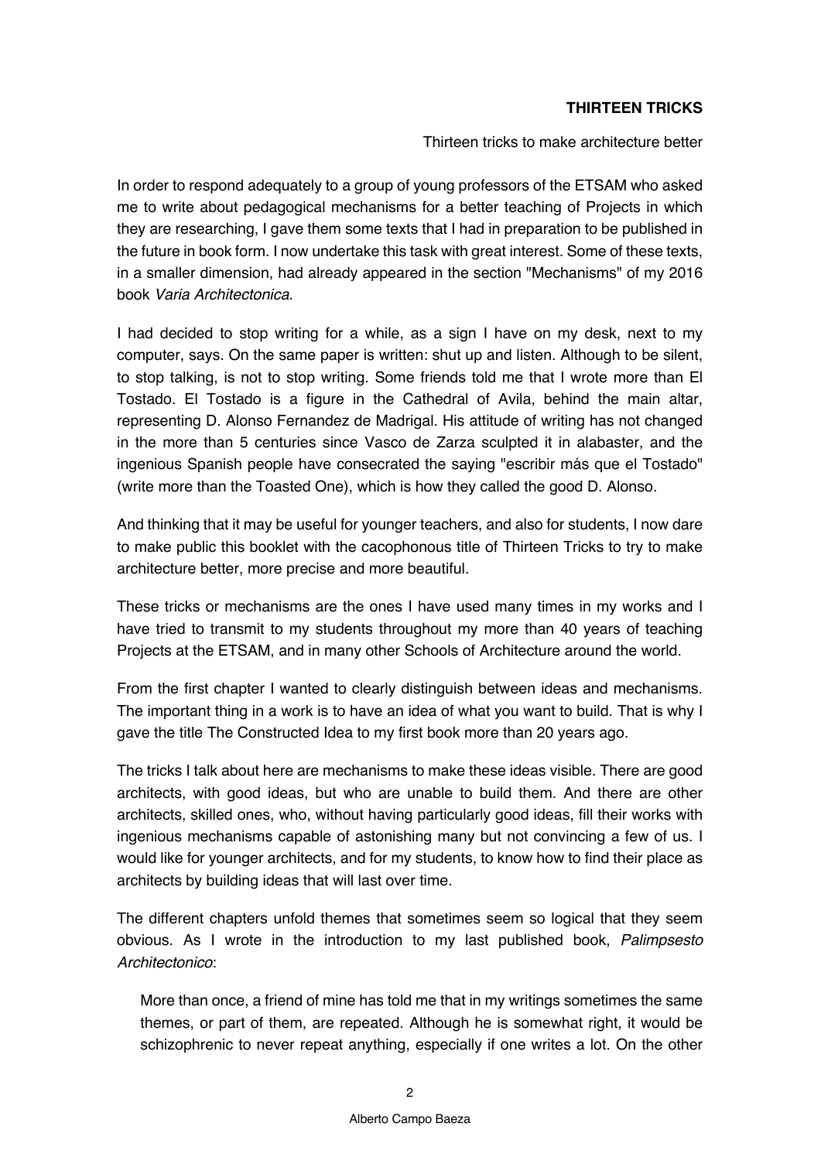## **THIRTEEN TRICKS**

Thirteen tricks to make architecture better

In order to respond adequately to a group of young professors of the ETSAM who asked me to write about pedagogical mechanisms for a better teaching of Projects in which they are researching, I gave them some texts that I had in preparation to be published in the future in book form. I now undertake this task with great interest. Some of these texts, in a smaller dimension, had already appeared in the section "Mechanisms" of my 2016 book *Varia Architectonica.*

I had decided to stop writing for a while, as a sign I have on my desk, next to my computer, says. On the same paper is written: shut up and listen. Although to be silent, to stop talking, is not to stop writing. Some friends told me that I wrote more than El Tostado. El Tostado is a figure in the Cathedral of Avila, behind the main altar, representing D. Alonso Fernandez de Madrigal. His attitude of writing has not changed in the more than 5 centuries since Vasco de Zarza sculpted it in alabaster, and the ingenious Spanish people have consecrated the saying "escribir más que el Tostado" (write more than the Toasted One), which is how they called the good D. Alonso.

And thinking that it may be useful for younger teachers, and also for students, I now dare to make public this booklet with the cacophonous title of Thirteen Tricks to try to make architecture better, more precise and more beautiful.

These tricks or mechanisms are the ones I have used many times in my works and I have tried to transmit to my students throughout my more than 40 years of teaching Projects at the ETSAM, and in many other Schools of Architecture around the world.

From the first chapter I wanted to clearly distinguish between ideas and mechanisms. The important thing in a work is to have an idea of what you want to build. That is why I gave the title The Constructed Idea to my first book more than 20 years ago.

The tricks I talk about here are mechanisms to make these ideas visible. There are good architects, with good ideas, but who are unable to build them. And there are other architects, skilled ones, who, without having particularly good ideas, fill their works with ingenious mechanisms capable of astonishing many but not convincing a few of us. I would like for younger architects, and for my students, to know how to find their place as architects by building ideas that will last over time.

The different chapters unfold themes that sometimes seem so logical that they seem obvious. As I wrote in the introduction to my last published book, *Palimpsesto Architectonico*:

More than once, a friend of mine has told me that in my writings sometimes the same themes, or part of them, are repeated. Although he is somewhat right, it would be schizophrenic to never repeat anything, especially if one writes a lot. On the other